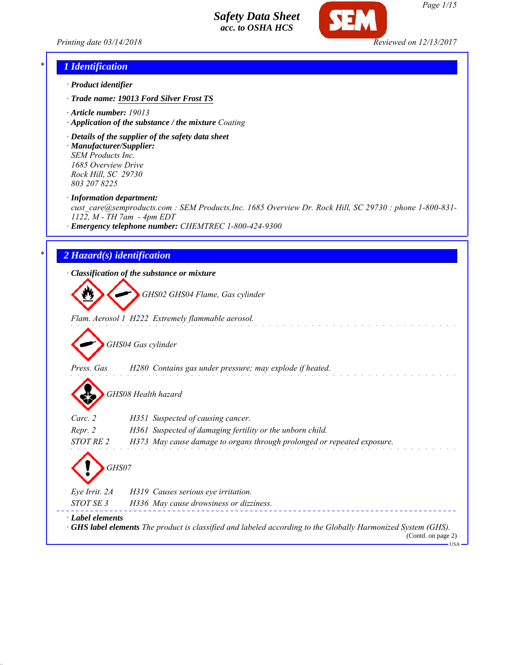

*Page 1/15*

*Printing date 03/14/2018 Reviewed on 12/13/2017*

### *\* 1 Identification*

- *· Product identifier*
- *· Trade name: 19013 Ford Silver Frost TS*
- *· Article number: 19013*
- *· Application of the substance / the mixture Coating*
- *· Details of the supplier of the safety data sheet · Manufacturer/Supplier: SEM Products Inc.*

*1685 Overview Drive Rock Hill, SC 29730 803 207 8225*

*· Information department:*

*cust\_care@semproducts.com : SEM Products,Inc. 1685 Overview Dr. Rock Hill, SC 29730 : phone 1-800-831- 1122, M - TH 7am - 4pm EDT*

*· Emergency telephone number: CHEMTREC 1-800-424-9300*

### *\* 2 Hazard(s) identification*

*· Classification of the substance or mixture*

*GHS02 GHS04 Flame, Gas cylinder*

*Flam. Aerosol 1 H222 Extremely flammable aerosol.*

*GHS04 Gas cylinder*

*Press. Gas H280 Contains gas under pressure; may explode if heated.*

*GHS08 Health hazard*

| Carc. 2               | H351 Suspected of causing cancer.                                       |
|-----------------------|-------------------------------------------------------------------------|
| Repr. 2               | H361 Suspected of damaging fertility or the unborn child.               |
| <i>STOT RE 2</i>      | H373 May cause damage to organs through prolonged or repeated exposure. |
| $\langle \,$<br>GHS07 |                                                                         |
| Eye Irrit. 2A         | H319 Causes serious eye irritation.                                     |
| CDCDCDCD2             | $\frac{1}{2}$                                                           |

*STOT SE 3 H336 May cause drowsiness or dizziness. · Label elements · GHS label elements The product is classified and labeled according to the Globally Harmonized System (GHS).*

(Contd. on page 2) USA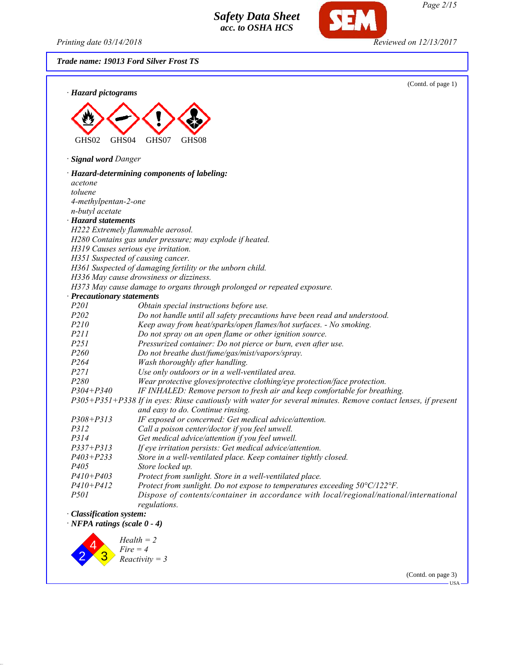*Printing date 03/14/2018 Reviewed on 12/13/2017*

*Trade name: 19013 Ford Silver Frost TS*



(Contd. on page 3) USA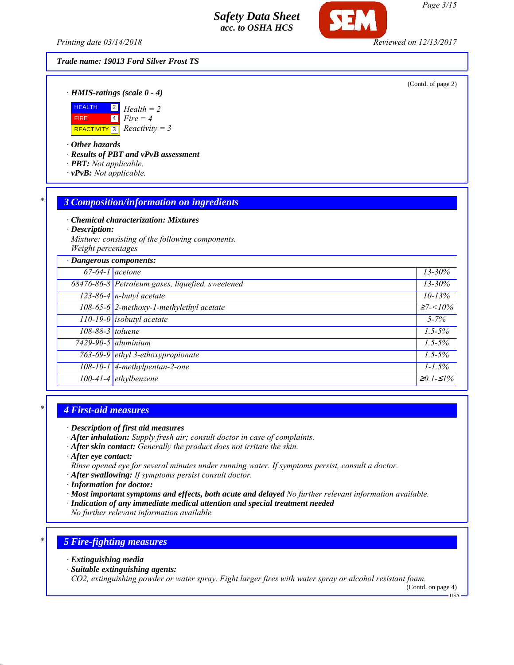*Printing date 03/14/2018 Reviewed on 12/13/2017*

## *Trade name: 19013 Ford Silver Frost TS*

(Contd. of page 2)

*· HMIS-ratings (scale 0 - 4)*



*· Other hazards*

*· Results of PBT and vPvB assessment*

- *· PBT: Not applicable.*
- *· vPvB: Not applicable.*

### *\* 3 Composition/information on ingredients*

*· Chemical characterization: Mixtures*

*· Description:*

*Mixture: consisting of the following components. Weight percentages*

| · Dangerous components: |                                                  |                   |
|-------------------------|--------------------------------------------------|-------------------|
| $67-64-1$ acetone       |                                                  | $13 - 30\%$       |
|                         | 68476-86-8 Petroleum gases, liquefied, sweetened | $13 - 30\%$       |
|                         | $\sqrt{123-86-4}$ n-butyl acetate                | $10 - 13%$        |
|                         | 108-65-6 2-methoxy-1-methylethyl acetate         | $\geq 7 < 10\%$   |
|                         | $110-19-0$ isobutyl acetate                      | $5 - 7\%$         |
| 108-88-3 toluene        |                                                  | $1.5 - 5\%$       |
|                         | $7429-90-5$ aluminium                            | $1.5 - 5\%$       |
|                         | 763-69-9 ethyl 3-ethoxypropionate                | $1.5 - 5\%$       |
|                         | 108-10-1 4-methylpentan-2-one                    | $1 - 1.5\%$       |
|                         | $100-41-4$ ethylbenzene                          | $\geq 0.1 - 51\%$ |

### *\* 4 First-aid measures*

- *· After inhalation: Supply fresh air; consult doctor in case of complaints.*
- *· After skin contact: Generally the product does not irritate the skin.*
- *· After eye contact:*
- *Rinse opened eye for several minutes under running water. If symptoms persist, consult a doctor.*
- *· After swallowing: If symptoms persist consult doctor.*
- *· Information for doctor:*
- *· Most important symptoms and effects, both acute and delayed No further relevant information available.*
- *· Indication of any immediate medical attention and special treatment needed*

*No further relevant information available.*

## *\* 5 Fire-fighting measures*

- *· Extinguishing media*
- *· Suitable extinguishing agents:*

*CO2, extinguishing powder or water spray. Fight larger fires with water spray or alcohol resistant foam.*

(Contd. on page 4)

*<sup>·</sup> Description of first aid measures*

USA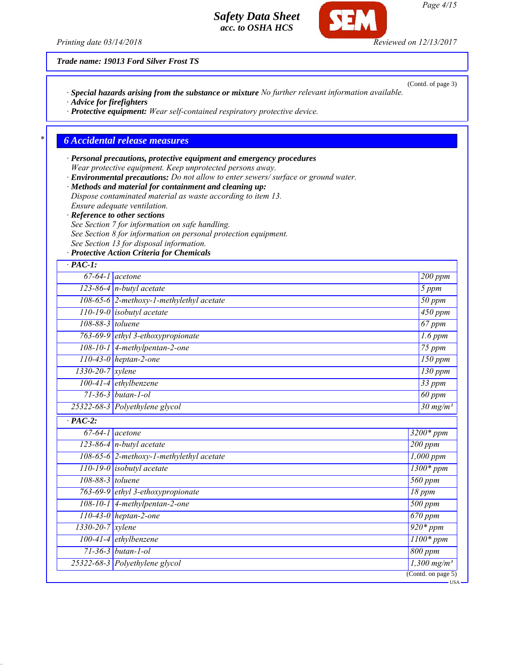*· Special hazards arising from the substance or mixture No further relevant information available.*

*· Protective equipment: Wear self-contained respiratory protective device.*

*· Personal precautions, protective equipment and emergency procedures*

*· Advice for firefighters*

*Printing date 03/14/2018 Reviewed on 12/13/2017*

*Trade name: 19013 Ford Silver Frost TS*

*\* 6 Accidental release measures*

|                    | See Section 7 for information on safe handling.                                        |                      |                           |
|--------------------|----------------------------------------------------------------------------------------|----------------------|---------------------------|
|                    | See Section 8 for information on personal protection equipment.                        |                      |                           |
|                    | See Section 13 for disposal information.<br>· Protective Action Criteria for Chemicals |                      |                           |
| $·$ PAC-1:         |                                                                                        |                      |                           |
|                    | $67-64-1$ acetone                                                                      |                      | $\overline{200}$ ppm      |
|                    | $123-86-4$ n-butyl acetate                                                             |                      | 5 ppm                     |
|                    | 108-65-6 2-methoxy-1-methylethyl acetate                                               |                      | 50 ppm                    |
|                    | $110-19-0$ isobutyl acetate                                                            |                      | 450 ppm                   |
| 108-88-3 toluene   |                                                                                        |                      | $67$ ppm                  |
|                    | 763-69-9 ethyl 3-ethoxypropionate                                                      |                      | $1.6$ ppm                 |
|                    | 108-10-1 4-methylpentan-2-one                                                          |                      | $75$ ppm                  |
|                    | $110-43-0$ heptan-2-one                                                                |                      | $150$ ppm                 |
| $1330-20-7$ xylene |                                                                                        |                      | 130 ppm                   |
|                    | $100-41-4$ ethylbenzene                                                                |                      | $33$ ppm                  |
|                    | 71-36-3 butan-1-ol                                                                     |                      | $60$ ppm                  |
|                    | 25322-68-3 Polyethylene glycol                                                         |                      | $30 \text{ mg/m}^3$       |
| $\cdot$ PAC-2:     |                                                                                        |                      |                           |
|                    | $67-64-1$ acetone                                                                      | $3200*ppm$           |                           |
|                    | 123-86-4 $n$ -butyl acetate                                                            | 200 ppm              |                           |
|                    | 108-65-6 2-methoxy-1-methylethyl acetate                                               |                      | $1,000$ ppm               |
|                    | $110-19-0$ isobutyl acetate                                                            |                      | $1300*ppm$                |
| 108-88-3 toluene   |                                                                                        | 560 ppm              |                           |
|                    | 763-69-9 ethyl 3-ethoxypropionate                                                      | 18 ppm               |                           |
|                    | $108-10-1$ 4-methylpentan-2-one                                                        | $\overline{500}$ ppm |                           |
|                    | $110-43-0$ heptan-2-one                                                                | $670$ ppm            |                           |
| 1330-20-7 xylene   |                                                                                        | $\overline{920*ppm}$ |                           |
|                    | 100-41-4 ethylbenzene                                                                  |                      | $1100*ppm$                |
|                    | $71 - 36 - 3$ butan-1-ol                                                               | 800 ppm              |                           |
|                    | 25322-68-3 Polyethylene glycol                                                         |                      | $1,300$ mg/m <sup>3</sup> |
|                    |                                                                                        | (Cond. on page 5)    |                           |

*Page 4/15*

(Contd. of page 3)

SEM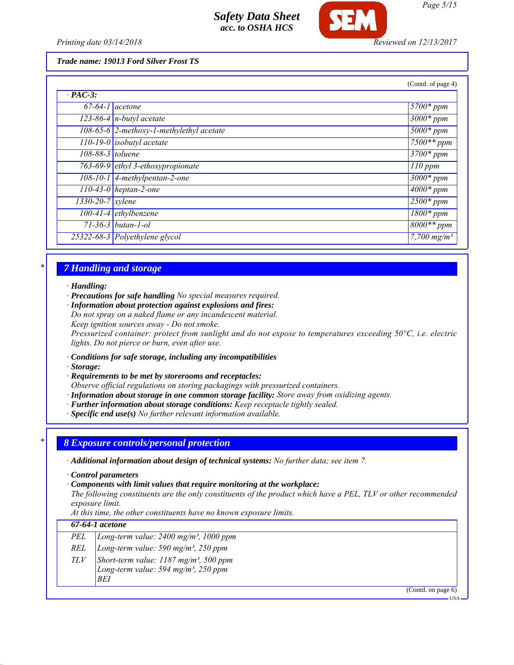

*Printing date 03/14/2018 Reviewed on 12/13/2017*

*Trade name: 19013 Ford Silver Frost TS*

|                               |                                                   | (Contd. of page 4)        |
|-------------------------------|---------------------------------------------------|---------------------------|
| $\cdot$ PAC-3:                |                                                   |                           |
| $67-64-1$ acetone             |                                                   | $5700*ppm$                |
|                               | $\sqrt{123-86-4}$ n-butyl acetate                 | $3000*$ ppm               |
|                               | $\sqrt{108-65-6}$ 2-methoxy-1-methylethyl acetate | $5000*$ ppm               |
|                               | $\overline{110-19-0}$ isobutyl acetate            | $7500**$ ppm              |
| 108-88-3 toluene              |                                                   | $3700*ppm$                |
|                               | 763-69-9 ethyl 3-ethoxypropionate                 | $110$ ppm                 |
|                               | $108-10-1$ 4-methylpentan-2-one                   | $\overline{3000}$ * ppm   |
|                               | 110-43-0 heptan-2-one                             | $4000*$ ppm               |
| $1330 - 20 - 7$ <i>xylene</i> |                                                   | $\sqrt{2500}$ * ppm       |
|                               | $100-41-4$ ethylbenzene                           | $\overline{1800}$ * ppm   |
|                               | $71 - 36 - 3$ butan-1-ol                          | $8000**$ ppm              |
|                               | 25322-68-3 Polyethylene glycol                    | $7,700$ mg/m <sup>3</sup> |

## *\* 7 Handling and storage*

### *· Handling:*

- *· Precautions for safe handling No special measures required.*
- *· Information about protection against explosions and fires:*
- *Do not spray on a naked flame or any incandescent material. Keep ignition sources away - Do not smoke.*

*Pressurized container: protect from sunlight and do not expose to temperatures exceeding 50°C, i.e. electric lights. Do not pierce or burn, even after use.*

- *· Conditions for safe storage, including any incompatibilities*
- *· Storage:*
- *· Requirements to be met by storerooms and receptacles:*
- *Observe official regulations on storing packagings with pressurized containers.*
- *· Information about storage in one common storage facility: Store away from oxidizing agents.*
- *· Further information about storage conditions: Keep receptacle tightly sealed.*
- *· Specific end use(s) No further relevant information available.*

## *\* 8 Exposure controls/personal protection*

*· Additional information about design of technical systems: No further data; see item 7.*

- *· Control parameters*
- *· Components with limit values that require monitoring at the workplace:*

*The following constituents are the only constituents of the product which have a PEL, TLV or other recommended exposure limit.*

*At this time, the other constituents have no known exposure limits.*

### *67-64-1 acetone*

- *PEL Long-term value: 2400 mg/m³, 1000 ppm*
- *REL Long-term value: 590 mg/m³, 250 ppm*
- *TLV Short-term value: 1187 mg/m³, 500 ppm*
	- *Long-term value: 594 mg/m³, 250 ppm BEI*

(Contd. on page 6)

USA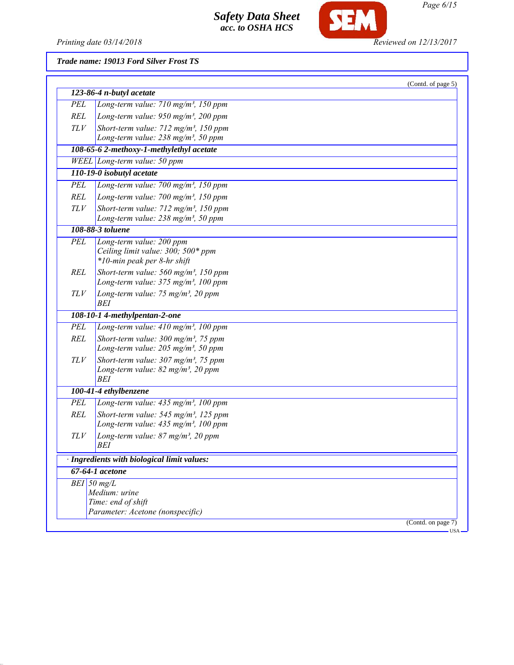

SEM

*Trade name: 19013 Ford Silver Frost TS*

|            |                                                                   | (Contd. of page 5)    |
|------------|-------------------------------------------------------------------|-----------------------|
|            | 123-86-4 n-butyl acetate                                          |                       |
| PEL        | Long-term value: $710$ mg/m <sup>3</sup> , 150 ppm                |                       |
| REL        | Long-term value: $950$ mg/m <sup>3</sup> , 200 ppm                |                       |
| TLV        | Short-term value: $712$ mg/m <sup>3</sup> , 150 ppm               |                       |
|            | Long-term value: 238 mg/m <sup>3</sup> , 50 ppm                   |                       |
|            | 108-65-6 2-methoxy-1-methylethyl acetate                          |                       |
|            | $WELL$ Long-term value: 50 ppm                                    |                       |
|            | 110-19-0 isobutyl acetate                                         |                       |
| PEL        | Long-term value: 700 mg/m <sup>3</sup> , 150 ppm                  |                       |
| REL        | Long-term value: 700 mg/m <sup>3</sup> , 150 ppm                  |                       |
| <b>TLV</b> | Short-term value: $712$ mg/m <sup>3</sup> , 150 ppm               |                       |
|            | Long-term value: $238$ mg/m <sup>3</sup> , 50 ppm                 |                       |
|            | 108-88-3 toluene                                                  |                       |
| PEL        | Long-term value: 200 ppm                                          |                       |
|            | Ceiling limit value: 300; 500* ppm<br>*10-min peak per 8-hr shift |                       |
| REL        | Short-term value: $560$ mg/m <sup>3</sup> , 150 ppm               |                       |
|            | Long-term value: 375 mg/m <sup>3</sup> , 100 ppm                  |                       |
| TLV        | Long-term value: 75 mg/m <sup>3</sup> , 20 ppm                    |                       |
|            | BEI                                                               |                       |
|            | 108-10-1 4-methylpentan-2-one                                     |                       |
| PEL        | Long-term value: 410 mg/m <sup>3</sup> , 100 ppm                  |                       |
| REL        | Short-term value: $300$ mg/m <sup>3</sup> , 75 ppm                |                       |
|            | Long-term value: $205$ mg/m <sup>3</sup> , 50 ppm                 |                       |
| TLV        | Short-term value: $307 \text{ mg/m}^3$ , 75 ppm                   |                       |
|            | Long-term value: $82$ mg/m <sup>3</sup> , 20 ppm<br>BEI           |                       |
|            | 100-41-4 ethylbenzene                                             |                       |
| PEL        | Long-term value: $435$ mg/m <sup>3</sup> , 100 ppm                |                       |
| REL        | Short-term value: $545$ mg/m <sup>3</sup> , 125 ppm               |                       |
|            | Long-term value: $435$ mg/m <sup>3</sup> , 100 ppm                |                       |
| TLV        | Long-term value: $87$ mg/m <sup>3</sup> , 20 ppm                  |                       |
|            | BEI                                                               |                       |
|            | Ingredients with biological limit values:                         |                       |
|            | 67-64-1 acetone                                                   |                       |
|            | $BEI$ 50 mg/L                                                     |                       |
|            | Medium: urine                                                     |                       |
|            | Time: end of shift                                                |                       |
|            | Parameter: Acetone (nonspecific)                                  |                       |
|            |                                                                   | (Contd. on page $7$ ) |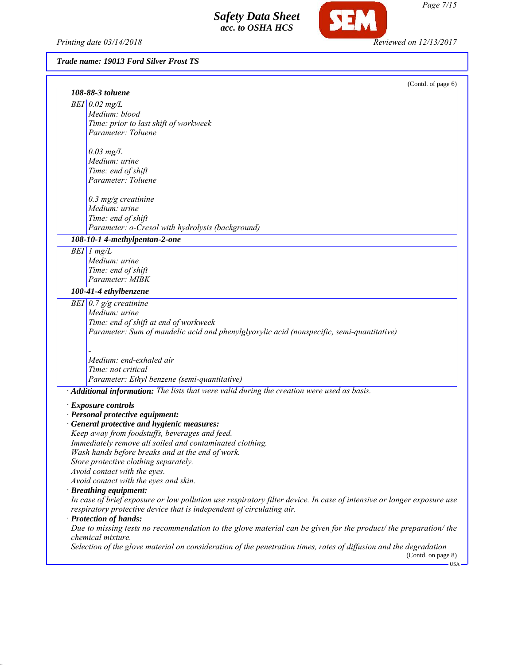*Printing date 03/14/2018 Reviewed on 12/13/2017*

SEM

## *Trade name: 19013 Ford Silver Frost TS*

| 108-88-3 toluene<br>$BEI$ 0.02 mg/L<br>Medium: blood<br>Time: prior to last shift of workweek<br>Parameter: Toluene<br>$0.03$ mg/L<br>Medium: urine<br>Time: end of shift<br>Parameter: Toluene<br>$0.3$ mg/g creatinine<br>Medium: urine<br>Time: end of shift<br>Parameter: o-Cresol with hydrolysis (background)<br>108-10-1 4-methylpentan-2-one |                            |
|------------------------------------------------------------------------------------------------------------------------------------------------------------------------------------------------------------------------------------------------------------------------------------------------------------------------------------------------------|----------------------------|
|                                                                                                                                                                                                                                                                                                                                                      |                            |
|                                                                                                                                                                                                                                                                                                                                                      |                            |
|                                                                                                                                                                                                                                                                                                                                                      |                            |
|                                                                                                                                                                                                                                                                                                                                                      |                            |
|                                                                                                                                                                                                                                                                                                                                                      |                            |
|                                                                                                                                                                                                                                                                                                                                                      |                            |
|                                                                                                                                                                                                                                                                                                                                                      |                            |
|                                                                                                                                                                                                                                                                                                                                                      |                            |
|                                                                                                                                                                                                                                                                                                                                                      |                            |
|                                                                                                                                                                                                                                                                                                                                                      |                            |
|                                                                                                                                                                                                                                                                                                                                                      |                            |
|                                                                                                                                                                                                                                                                                                                                                      |                            |
|                                                                                                                                                                                                                                                                                                                                                      |                            |
|                                                                                                                                                                                                                                                                                                                                                      |                            |
| $BEI$ 1 mg/L                                                                                                                                                                                                                                                                                                                                         |                            |
| Medium: urine                                                                                                                                                                                                                                                                                                                                        |                            |
| Time: end of shift                                                                                                                                                                                                                                                                                                                                   |                            |
| Parameter: MIBK                                                                                                                                                                                                                                                                                                                                      |                            |
| 100-41-4 ethylbenzene                                                                                                                                                                                                                                                                                                                                |                            |
| BEI $0.7$ g/g creatinine                                                                                                                                                                                                                                                                                                                             |                            |
| Medium: urine                                                                                                                                                                                                                                                                                                                                        |                            |
| Time: end of shift at end of workweek                                                                                                                                                                                                                                                                                                                |                            |
| Parameter: Sum of mandelic acid and phenylglyoxylic acid (nonspecific, semi-quantitative)                                                                                                                                                                                                                                                            |                            |
|                                                                                                                                                                                                                                                                                                                                                      |                            |
|                                                                                                                                                                                                                                                                                                                                                      |                            |
| Medium: end-exhaled air                                                                                                                                                                                                                                                                                                                              |                            |
| Time: not critical                                                                                                                                                                                                                                                                                                                                   |                            |
| Parameter: Ethyl benzene (semi-quantitative)                                                                                                                                                                                                                                                                                                         |                            |
| Additional information: The lists that were valid during the creation were used as basis.                                                                                                                                                                                                                                                            |                            |
| · Exposure controls                                                                                                                                                                                                                                                                                                                                  |                            |
| · Personal protective equipment:                                                                                                                                                                                                                                                                                                                     |                            |
| · General protective and hygienic measures:                                                                                                                                                                                                                                                                                                          |                            |
| Keep away from foodstuffs, beverages and feed.                                                                                                                                                                                                                                                                                                       |                            |
| Immediately remove all soiled and contaminated clothing.                                                                                                                                                                                                                                                                                             |                            |
| Wash hands before breaks and at the end of work.                                                                                                                                                                                                                                                                                                     |                            |
| Store protective clothing separately.                                                                                                                                                                                                                                                                                                                |                            |
| Avoid contact with the eyes.                                                                                                                                                                                                                                                                                                                         |                            |
| Avoid contact with the eyes and skin.                                                                                                                                                                                                                                                                                                                |                            |
| · Breathing equipment:                                                                                                                                                                                                                                                                                                                               |                            |
| In case of brief exposure or low pollution use respiratory filter device. In case of intensive or longer exposure use                                                                                                                                                                                                                                |                            |
| respiratory protective device that is independent of circulating air.                                                                                                                                                                                                                                                                                |                            |
| · Protection of hands:                                                                                                                                                                                                                                                                                                                               |                            |
| Due to missing tests no recommendation to the glove material can be given for the product/ the preparation/ the<br>chemical mixture.                                                                                                                                                                                                                 |                            |
| Selection of the glove material on consideration of the penetration times, rates of diffusion and the degradation                                                                                                                                                                                                                                    | (Contd. on page 8)<br>·USA |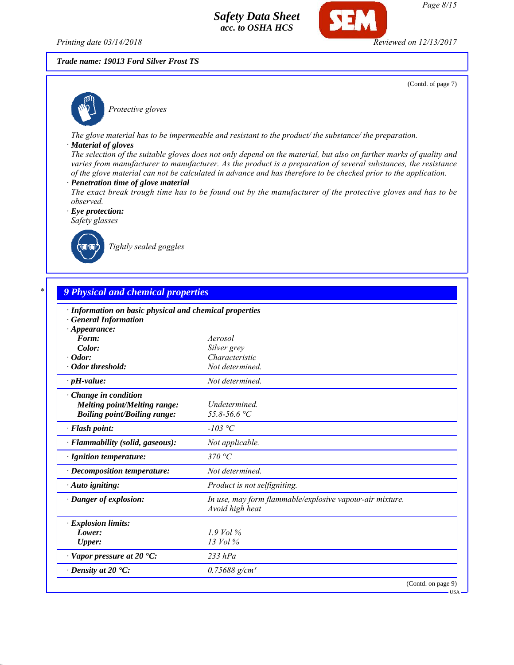*Printing date 03/14/2018 Reviewed on 12/13/2017*

## *Trade name: 19013 Ford Silver Frost TS*

(Contd. of page 7)



*Protective gloves*

*The glove material has to be impermeable and resistant to the product/ the substance/ the preparation.*

### *· Material of gloves*

*The selection of the suitable gloves does not only depend on the material, but also on further marks of quality and varies from manufacturer to manufacturer. As the product is a preparation of several substances, the resistance of the glove material can not be calculated in advance and has therefore to be checked prior to the application.*

- *· Penetration time of glove material*
- *The exact break trough time has to be found out by the manufacturer of the protective gloves and has to be observed.*

*· Eye protection: Safety glasses*



*Tightly sealed goggles*

| · Information on basic physical and chemical properties |                                                                             |
|---------------------------------------------------------|-----------------------------------------------------------------------------|
| · General Information                                   |                                                                             |
| $\cdot$ Appearance:<br>Form:                            | Aerosol                                                                     |
| Color:                                                  | Silver grey                                                                 |
| $\cdot$ Odor:                                           | Characteristic                                                              |
| · Odor threshold:                                       | Not determined.                                                             |
| $\cdot$ pH-value:                                       | Not determined.                                                             |
| Change in condition                                     |                                                                             |
| <b>Melting point/Melting range:</b>                     | Undetermined.                                                               |
| <b>Boiling point/Boiling range:</b>                     | 55.8-56.6 °C                                                                |
| · Flash point:                                          | $-103$ °C                                                                   |
| · Flammability (solid, gaseous):                        | Not applicable.                                                             |
| · Ignition temperature:                                 | 370 °C                                                                      |
| · Decomposition temperature:                            | Not determined.                                                             |
| · Auto igniting:                                        | Product is not selfigniting.                                                |
| · Danger of explosion:                                  | In use, may form flammable/explosive vapour-air mixture.<br>Avoid high heat |
| · Explosion limits:                                     |                                                                             |
| Lower:                                                  | $1.9$ Vol $\%$                                                              |
| <b>Upper:</b>                                           | 13 Vol %                                                                    |
| $\cdot$ Vapor pressure at 20 $\cdot$ C:                 | $233$ hPa                                                                   |
| $\cdot$ Density at 20 $\cdot$ C:                        | $0.75688$ g/cm <sup>3</sup>                                                 |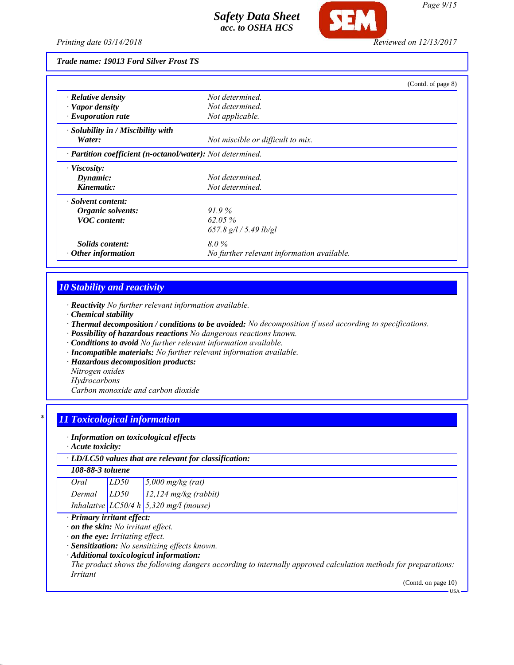

#### *Trade name: 19013 Ford Silver Frost TS*

|                                                            |                                            | (Contd. of page 8) |
|------------------------------------------------------------|--------------------------------------------|--------------------|
| $\cdot$ Relative density                                   | Not determined.                            |                    |
| $\cdot$ Vapor density                                      | Not determined.                            |                    |
| $\cdot$ Evaporation rate                                   | Not applicable.                            |                    |
| · Solubility in / Miscibility with                         |                                            |                    |
| Water:                                                     | Not miscible or difficult to mix.          |                    |
| · Partition coefficient (n-octanol/water): Not determined. |                                            |                    |
| · Viscosity:                                               |                                            |                    |
| Dynamic:                                                   | Not determined.                            |                    |
| Kinematic:                                                 | Not determined.                            |                    |
| · Solvent content:                                         |                                            |                    |
| Organic solvents:                                          | $91.9\%$                                   |                    |
| <b>VOC</b> content:                                        | $62.05\%$                                  |                    |
|                                                            | $657.8$ g/l / 5.49 lb/gl                   |                    |
| <i>Solids content:</i>                                     | 8.0%                                       |                    |
| Other information                                          | No further relevant information available. |                    |

## *10 Stability and reactivity*

- *· Reactivity No further relevant information available.*
- *· Chemical stability*
- *· Thermal decomposition / conditions to be avoided: No decomposition if used according to specifications.*
- *· Possibility of hazardous reactions No dangerous reactions known.*
- *· Conditions to avoid No further relevant information available.*
- *· Incompatible materials: No further relevant information available.*
- *· Hazardous decomposition products:*
- *Nitrogen oxides*
- *Hydrocarbons*

*Carbon monoxide and carbon dioxide*

## *\* 11 Toxicological information*

#### *· Information on toxicological effects*

*· Acute toxicity:*

### *· LD/LC50 values that are relevant for classification:*

## *108-88-3 toluene*

| Oral   | LD50 | $\frac{5,000 \text{ mg/kg}}{(\text{rat})}$     |
|--------|------|------------------------------------------------|
| Dermal | LD50 | $12.124$ mg/kg (rabbit)                        |
|        |      | Inhalative $LC50/4 h \, 5,320 \, mg/l$ (mouse) |

### *· Primary irritant effect:*

*· on the skin: No irritant effect.*

*· on the eye: Irritating effect.*

*· Sensitization: No sensitizing effects known.*

### *· Additional toxicological information:*

*The product shows the following dangers according to internally approved calculation methods for preparations: Irritant*

(Contd. on page 10)

USA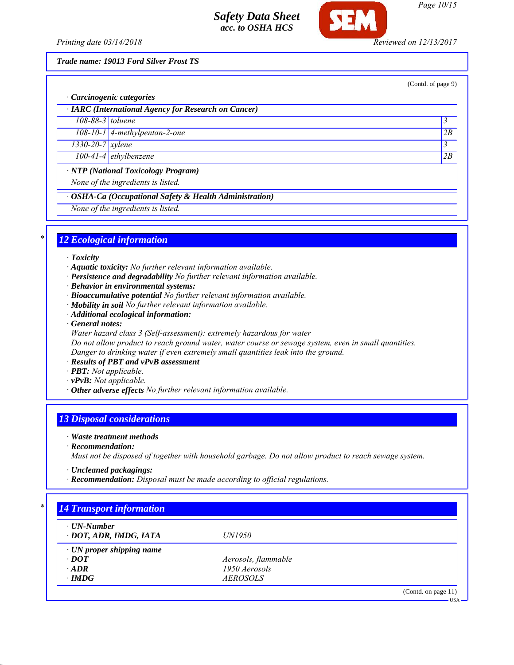

*Page 10/15*

*Printing date 03/14/2018 Reviewed on 12/13/2017*

*Trade name: 19013 Ford Silver Frost TS*

(Contd. of page 9)

|                               | · Carcinogenic categories                               |    |
|-------------------------------|---------------------------------------------------------|----|
|                               | · IARC (International Agency for Research on Cancer)    |    |
| $108-88-3$ toluene            |                                                         | 3  |
|                               | $108-10-1$ 4-methylpentan-2-one                         | 2B |
| $1330 - 20 - 7$ <i>xylene</i> |                                                         | 3  |
|                               | 100-41-4 ethylbenzene                                   | 2B |
|                               | · NTP (National Toxicology Program)                     |    |
|                               | None of the ingredients is listed.                      |    |
|                               | · OSHA-Ca (Occupational Safety & Health Administration) |    |
|                               | None of the ingredients is listed.                      |    |

## *\* 12 Ecological information*

### *· Toxicity*

- *· Aquatic toxicity: No further relevant information available.*
- *· Persistence and degradability No further relevant information available.*
- *· Behavior in environmental systems:*
- *· Bioaccumulative potential No further relevant information available.*
- *· Mobility in soil No further relevant information available.*
- *· Additional ecological information:*
- *· General notes:*
- *Water hazard class 3 (Self-assessment): extremely hazardous for water*
- *Do not allow product to reach ground water, water course or sewage system, even in small quantities. Danger to drinking water if even extremely small quantities leak into the ground.*
- *· Results of PBT and vPvB assessment*
- *· PBT: Not applicable.*
- *· vPvB: Not applicable.*
- *· Other adverse effects No further relevant information available.*

## *13 Disposal considerations*

### *· Waste treatment methods*

*· Recommendation:*

*Must not be disposed of together with household garbage. Do not allow product to reach sewage system.*

- *· Uncleaned packagings:*
- *· Recommendation: Disposal must be made according to official regulations.*

| $\cdot$ UN-Number               |                     |  |
|---------------------------------|---------------------|--|
| · DOT, ADR, IMDG, IATA          | <i>UN1950</i>       |  |
| $\cdot$ UN proper shipping name |                     |  |
| $\cdot$ DOT                     | Aerosols, flammable |  |
| $\cdot$ ADR                     | 1950 Aerosols       |  |
| $\cdot$ IMDG                    | <i>AEROSOLS</i>     |  |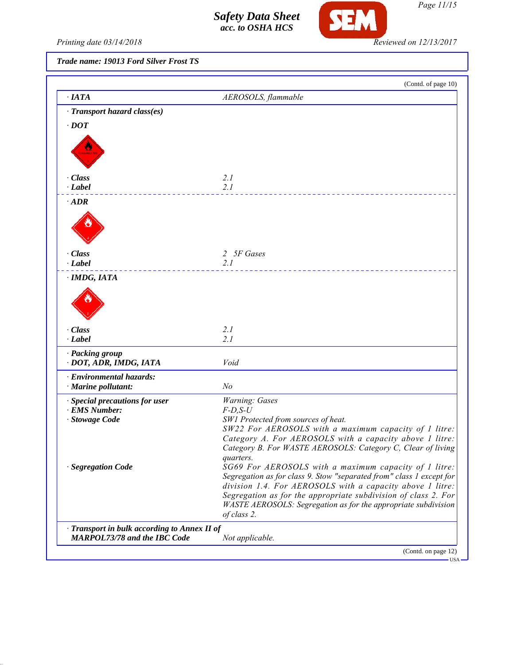

*Printing date 03/14/2018 Reviewed on 12/13/2017*

# *Trade name: 19013 Ford Silver Frost TS*

| $\cdot$ IATA                                                                      | AEROSOLS, flammable                                                                                              |
|-----------------------------------------------------------------------------------|------------------------------------------------------------------------------------------------------------------|
|                                                                                   |                                                                                                                  |
| · Transport hazard class(es)                                                      |                                                                                                                  |
| $\cdot$ DOT                                                                       |                                                                                                                  |
|                                                                                   |                                                                                                                  |
|                                                                                   |                                                                                                                  |
|                                                                                   |                                                                                                                  |
| · Class                                                                           | 2.1                                                                                                              |
| $\cdot$ Label                                                                     | 2.1                                                                                                              |
| $\cdot$ ADR                                                                       |                                                                                                                  |
|                                                                                   |                                                                                                                  |
|                                                                                   |                                                                                                                  |
|                                                                                   |                                                                                                                  |
|                                                                                   |                                                                                                                  |
| · Class<br>$\cdot$ Label                                                          | 2 5F Gases<br>2.1                                                                                                |
|                                                                                   |                                                                                                                  |
| · IMDG, IATA                                                                      |                                                                                                                  |
|                                                                                   |                                                                                                                  |
|                                                                                   |                                                                                                                  |
|                                                                                   |                                                                                                                  |
| · Class                                                                           | 2.1                                                                                                              |
| $\cdot$ Label                                                                     | 2.1                                                                                                              |
| · Packing group                                                                   |                                                                                                                  |
| · DOT, ADR, IMDG, IATA                                                            | Void                                                                                                             |
| · Environmental hazards:                                                          |                                                                                                                  |
| · Marine pollutant:                                                               | N <sub>o</sub>                                                                                                   |
| · Special precautions for user                                                    | Warning: Gases                                                                                                   |
| · EMS Number:                                                                     | $F$ -D,S-U                                                                                                       |
| · Stowage Code                                                                    | SW1 Protected from sources of heat.                                                                              |
|                                                                                   | SW22 For AEROSOLS with a maximum capacity of 1 litre:<br>Category A. For AEROSOLS with a capacity above 1 litre: |
|                                                                                   | Category B. For WASTE AEROSOLS: Category C, Clear of living                                                      |
|                                                                                   | <i>quarters.</i>                                                                                                 |
| · Segregation Code                                                                | SG69 For AEROSOLS with a maximum capacity of 1 litre:                                                            |
|                                                                                   | Segregation as for class 9. Stow "separated from" class 1 except for                                             |
|                                                                                   | division 1.4. For AEROSOLS with a capacity above 1 litre:                                                        |
|                                                                                   | Segregation as for the appropriate subdivision of class 2. For                                                   |
|                                                                                   | WASTE AEROSOLS: Segregation as for the appropriate subdivision<br>of class 2.                                    |
|                                                                                   |                                                                                                                  |
| Transport in bulk according to Annex II of<br><b>MARPOL73/78 and the IBC Code</b> | Not applicable.                                                                                                  |
|                                                                                   |                                                                                                                  |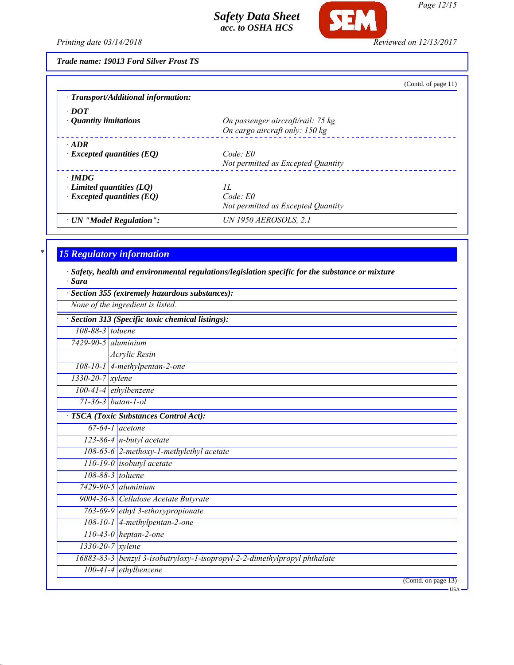

*Page 12/15*

*Printing date 03/14/2018 Reviewed on 12/13/2017*

*Trade name: 19013 Ford Silver Frost TS*

|                                     | (Contd. of page 11)                |
|-------------------------------------|------------------------------------|
| · Transport/Additional information: |                                    |
| $\cdot$ DOT                         |                                    |
| $\cdot$ Quantity limitations        | On passenger aircraft/rail: 75 kg  |
|                                     | On cargo aircraft only: 150 kg     |
| $\cdot$ ADR                         |                                    |
| $\cdot$ Excepted quantities (EQ)    | Code: E0                           |
|                                     | Not permitted as Excepted Quantity |
| $\cdot$ IMDG                        |                                    |
| $\cdot$ Limited quantities (LQ)     | II.                                |
| $\cdot$ Excepted quantities (EQ)    | Code: E0                           |
|                                     | Not permitted as Excepted Quantity |
| · UN "Model Regulation":            | <b>UN 1950 AEROSOLS, 2.1</b>       |
|                                     |                                    |

# *\* 15 Regulatory information*

*· Safety, health and environmental regulations/legislation specific for the substance or mixture · Sara*

|                           | Section 355 (extremely hazardous substances):                             |
|---------------------------|---------------------------------------------------------------------------|
|                           | None of the ingredient is listed.                                         |
|                           | Section 313 (Specific toxic chemical listings):                           |
| 108-88-3 toluene          |                                                                           |
| $7429 - 90 - 5$ aluminium |                                                                           |
|                           | Acrylic Resin                                                             |
|                           | 108-10-1 4-methylpentan-2-one                                             |
| $1330 - 20 - 7$ xylene    |                                                                           |
|                           | $100-41-4$ ethylbenzene                                                   |
|                           | $71 - 36 - 3$ butan-1-ol                                                  |
|                           | <b>TSCA</b> (Toxic Substances Control Act):                               |
|                           | $67-64-1$ acetone                                                         |
|                           | $123-86-4$ n-butyl acetate                                                |
|                           | 108-65-6 2-methoxy-1-methylethyl acetate                                  |
|                           | 110-19-0 <i>isobutyl</i> acetate                                          |
|                           | 108-88-3 toluene                                                          |
|                           | $7429 - 90 - 5$ aluminium                                                 |
|                           | 9004-36-8 Cellulose Acetate Butyrate                                      |
|                           | 763-69-9 ethyl 3-ethoxypropionate                                         |
|                           | 108-10-1 4-methylpentan-2-one                                             |
|                           | $110-43-0$ heptan-2-one                                                   |
|                           | $1330 - 20 - 7$ xylene                                                    |
|                           | 16883-83-3 benzyl 3-isobutryloxy-1-isopropyl-2-2-dimethylpropyl phthalate |
|                           | $100-41-4$ ethylbenzene                                                   |
|                           | (Contd. on page 13)<br>- USA                                              |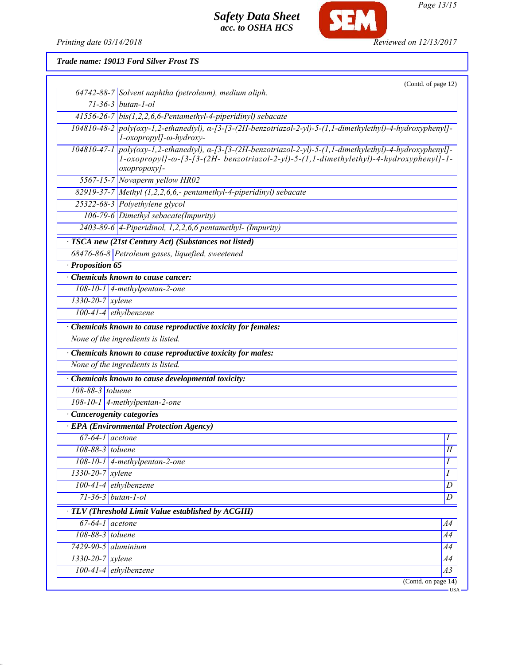*Printing date 03/14/2018 Reviewed on 12/13/2017*

**SEM** 

*Trade name: 19013 Ford Silver Frost TS*

|                               | (Contd. of page 12)                                                                                                                                                                                                                |
|-------------------------------|------------------------------------------------------------------------------------------------------------------------------------------------------------------------------------------------------------------------------------|
|                               | 64742-88-7 Solvent naphtha (petroleum), medium aliph.                                                                                                                                                                              |
|                               | $71-36-3$ butan-1-ol                                                                                                                                                                                                               |
|                               | 41556-26-7 bis $(1,2,2,6,6$ -Pentamethyl-4-piperidinyl) sebacate                                                                                                                                                                   |
|                               | $104810-48-2$ poly(oxy-1,2-ethanediyl), $\alpha$ -[3-[3-(2H-benzotriazol-2-yl)-5-(1,1-dimethylethyl)-4-hydroxyphenyl]-<br>l-oxopropyl]-ω-hydroxy-                                                                                  |
|                               | 104810-47-1 poly(oxy-1,2-ethanediyl), a-[3-[3-(2H-benzotriazol-2-yl)-5-(1,1-dimethylethyl)-4-hydroxyphenyl]-<br>$1$ -oxopropyl]- $\omega$ -[3-[3-(2H- benzotriazol-2-yl)-5-(1,1-dimethylethyl)-4-hydroxyphenyl]-1-<br>oxopropoxy]- |
|                               | 5567-15-7 Novaperm yellow HR02                                                                                                                                                                                                     |
|                               | 82919-37-7 Methyl $(1,2,2,6,6,$ - pentamethyl-4-piperidinyl) sebacate                                                                                                                                                              |
|                               | 25322-68-3 Polyethylene glycol                                                                                                                                                                                                     |
|                               | 106-79-6 Dimethyl sebacate(Impurity)                                                                                                                                                                                               |
|                               | $2403-89-6$ 4-Piperidinol, 1,2,2,6,6 pentamethyl- (Impurity)                                                                                                                                                                       |
|                               | TSCA new (21st Century Act) (Substances not listed)                                                                                                                                                                                |
|                               | 68476-86-8 Petroleum gases, liquefied, sweetened                                                                                                                                                                                   |
| · Proposition 65              |                                                                                                                                                                                                                                    |
|                               | Chemicals known to cause cancer:                                                                                                                                                                                                   |
|                               | $108-10-1$ 4-methylpentan-2-one                                                                                                                                                                                                    |
| $1330 - 20 - 7$ xylene        |                                                                                                                                                                                                                                    |
|                               | $100-41-4$ ethylbenzene                                                                                                                                                                                                            |
|                               | · Chemicals known to cause reproductive toxicity for females:                                                                                                                                                                      |
|                               | None of the ingredients is listed.                                                                                                                                                                                                 |
|                               | Chemicals known to cause reproductive toxicity for males:                                                                                                                                                                          |
|                               | None of the ingredients is listed.                                                                                                                                                                                                 |
|                               | Chemicals known to cause developmental toxicity:                                                                                                                                                                                   |
| $108-88-3$ toluene            |                                                                                                                                                                                                                                    |
|                               | $108-10-1$ 4-methylpentan-2-one                                                                                                                                                                                                    |
|                               | · Cancerogenity categories                                                                                                                                                                                                         |
|                               | <b>EPA</b> (Environmental Protection Agency)                                                                                                                                                                                       |
| $67-64-1$ acetone             |                                                                                                                                                                                                                                    |
| 108-88-3 toluene              | $\overline{H}$                                                                                                                                                                                                                     |
|                               | 108-10-1 4-methylpentan-2-one<br>I                                                                                                                                                                                                 |
| 1330-20-7 xylene              | I                                                                                                                                                                                                                                  |
|                               | $100-41-4$ ethylbenzene<br>D                                                                                                                                                                                                       |
|                               | 71-36-3 butan-1-ol<br>D                                                                                                                                                                                                            |
|                               | TLV (Threshold Limit Value established by ACGIH)                                                                                                                                                                                   |
| $67-64-1$ acetone             | A4                                                                                                                                                                                                                                 |
| 108-88-3 toluene              | A4                                                                                                                                                                                                                                 |
| $7429-90-5$ aluminium         | A4                                                                                                                                                                                                                                 |
| $1330 - 20 - 7$ <i>xylene</i> | A4                                                                                                                                                                                                                                 |
|                               | 100-41-4 ethylbenzene<br>$\overline{A3}$                                                                                                                                                                                           |
|                               | (Contd. on page 14)                                                                                                                                                                                                                |

*Page 13/15*

USA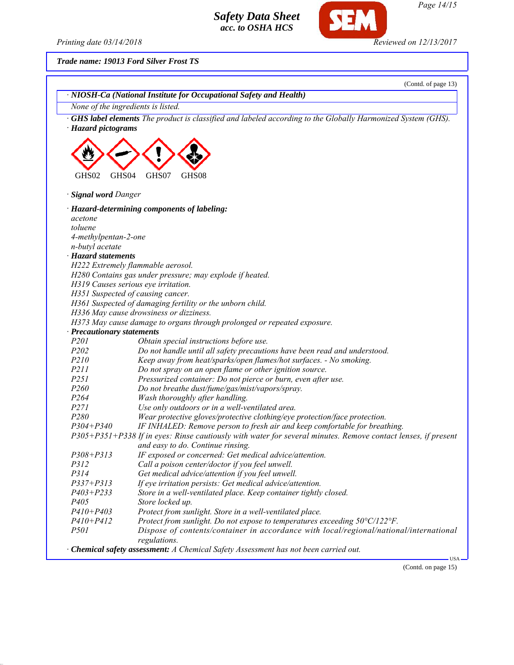*Printing date 03/14/2018 Reviewed on 12/13/2017*

**SEM** 

*Trade name: 19013 Ford Silver Frost TS*

|                                    | (Contd. of page 13)                                                                                                |
|------------------------------------|--------------------------------------------------------------------------------------------------------------------|
|                                    | · NIOSH-Ca (National Institute for Occupational Safety and Health)                                                 |
| None of the ingredients is listed. |                                                                                                                    |
| · Hazard pictograms                | <b>GHS label elements</b> The product is classified and labeled according to the Globally Harmonized System (GHS). |
| GHS02<br>GHS04                     | GHS07<br>GHS08                                                                                                     |
| · Signal word Danger               |                                                                                                                    |
|                                    | · Hazard-determining components of labeling:                                                                       |
| acetone                            |                                                                                                                    |
| toluene                            |                                                                                                                    |
| 4-methylpentan-2-one               |                                                                                                                    |
| n-butyl acetate                    |                                                                                                                    |
| · Hazard statements                |                                                                                                                    |
|                                    | H222 Extremely flammable aerosol.                                                                                  |
|                                    | H280 Contains gas under pressure; may explode if heated.                                                           |
|                                    | H319 Causes serious eye irritation.                                                                                |
|                                    | H351 Suspected of causing cancer.                                                                                  |
|                                    | H361 Suspected of damaging fertility or the unborn child.                                                          |
|                                    | H336 May cause drowsiness or dizziness.                                                                            |
|                                    | H373 May cause damage to organs through prolonged or repeated exposure.                                            |
| · Precautionary statements         |                                                                                                                    |
| P <sub>201</sub>                   | Obtain special instructions before use.                                                                            |
| P202                               | Do not handle until all safety precautions have been read and understood.                                          |
| P210                               | Keep away from heat/sparks/open flames/hot surfaces. - No smoking.                                                 |
| P211                               | Do not spray on an open flame or other ignition source.                                                            |
| P251                               | Pressurized container: Do not pierce or burn, even after use.                                                      |
| P260                               | Do not breathe dust/fume/gas/mist/vapors/spray.                                                                    |
| P <sub>264</sub>                   | Wash thoroughly after handling.                                                                                    |
| P271                               | Use only outdoors or in a well-ventilated area.                                                                    |
| P280                               | Wear protective gloves/protective clothing/eye protection/face protection.                                         |
| $P304 + P340$                      | IF INHALED: Remove person to fresh air and keep comfortable for breathing.                                         |
|                                    | P305+P351+P338 If in eyes: Rinse cautiously with water for several minutes. Remove contact lenses, if present      |
|                                    | and easy to do. Continue rinsing.                                                                                  |
| P308+P313                          | IF exposed or concerned: Get medical advice/attention.                                                             |
| <i>P312</i>                        | Call a poison center/doctor if you feel unwell.                                                                    |
| P314                               | Get medical advice/attention if you feel unwell.                                                                   |
| $P337 + P313$                      | If eye irritation persists: Get medical advice/attention.                                                          |
| $P403 + P233$                      | Store in a well-ventilated place. Keep container tightly closed.                                                   |
| P <sub>405</sub>                   | Store locked up.                                                                                                   |
| $P410 + P403$                      | Protect from sunlight. Store in a well-ventilated place.                                                           |
| $P410 + P412$                      | Protect from sunlight. Do not expose to temperatures exceeding 50°C/122°F.                                         |
| <i>P501</i>                        | Dispose of contents/container in accordance with local/regional/national/international<br>regulations.             |
|                                    | · Chemical safety assessment: A Chemical Safety Assessment has not been carried out.                               |

(Contd. on page 15)

USA

*Page 14/15*